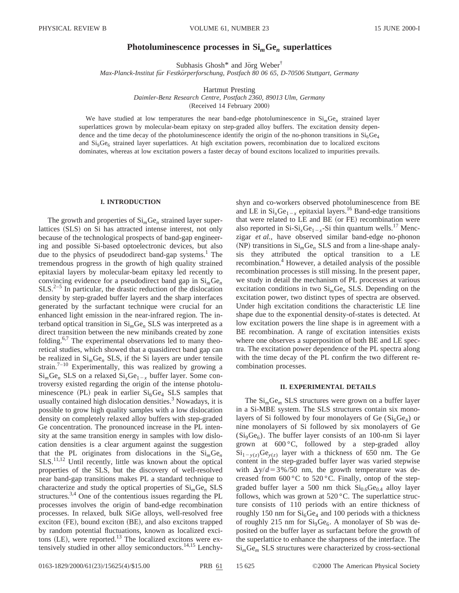# **Photoluminescence processes in Si***m***Ge***<sup>n</sup>* **superlattices**

Subhasis Ghosh $*$  and Jörg Weber $\dagger$ 

*Max-Planck-Institut fu¨r Festko¨rperforschung, Postfach 80 06 65, D-70506 Stuttgart, Germany*

Hartmut Presting

*Daimler-Benz Research Centre, Postfach 2360, 89013 Ulm, Germany*

(Received 14 February 2000)

We have studied at low temperatures the near band-edge photoluminescence in  $Si<sub>m</sub>Ge<sub>n</sub>$  strained layer superlattices grown by molecular-beam epitaxy on step-graded alloy buffers. The excitation density dependence and the time decay of the photoluminescence identify the origin of the no-phonon transitions in  $Si<sub>6</sub>Ge<sub>4</sub>$ and  $\text{Si}_9\text{Ge}_6$  strained layer superlattices. At high excitation powers, recombination due to localized excitons dominates, whereas at low excitation powers a faster decay of bound excitons localized to impurities prevails.

## **I. INTRODUCTION**

The growth and properties of Si*m*Ge*<sup>n</sup>* strained layer superlattices (SLS) on Si has attracted intense interest, not only because of the technological prospects of band-gap engineering and possible Si-based optoelectronic devices, but also due to the physics of pseudodirect band-gap systems.<sup>1</sup> The tremendous progress in the growth of high quality strained epitaxial layers by molecular-beam epitaxy led recently to convincing evidence for a pseudodirect band gap in Si*m*Ge*<sup>n</sup>*  $SLS<sup>2–5</sup>$  In particular, the drastic reduction of the dislocation density by step-graded buffer layers and the sharp interfaces generated by the surfactant technique were crucial for an enhanced light emission in the near-infrared region. The interband optical transition in Si*m*Ge*<sup>n</sup>* SLS was interpreted as a direct transition between the new minibands created by zone folding. $6,7$  The experimental observations led to many theoretical studies, which showed that a quasidirect band gap can be realized in Si*m*Ge*<sup>n</sup>* SLS, if the Si layers are under tensile strain.<sup>7-10</sup> Experimentally, this was realized by growing a  $Si<sub>m</sub>Ge<sub>n</sub>$  SLS on a relaxed  $Si<sub>x</sub>Ge<sub>1-x</sub>$  buffer layer. Some controversy existed regarding the origin of the intense photoluminescence (PL) peak in earlier  $Si<sub>6</sub>Ge<sub>4</sub> SLS$  samples that usually contained high dislocation densities. $3$  Nowadays, it is possible to grow high quality samples with a low dislocation density on completely relaxed alloy buffers with step-graded Ge concentration. The pronounced increase in the PL intensity at the same transition energy in samples with low dislocation densities is a clear argument against the suggestion that the PL originates from dislocations in the  $Si<sub>m</sub>Ge<sub>n</sub>$ SLS.<sup>11,12</sup> Until recently, little was known about the optical properties of the SLS, but the discovery of well-resolved near band-gap transitions makes PL a standard technique to characterize and study the optical properties of Si*m*Ge*<sup>n</sup>* SLS structures.<sup>3,4</sup> One of the contentious issues regarding the PL processes involves the origin of band-edge recombination processes. In relaxed, bulk SiGe alloys, well-resolved free exciton (FE), bound exciton (BE), and also excitons trapped by random potential fluctuations, known as localized excitons (LE), were reported.<sup>13</sup> The localized excitons were extensively studied in other alloy semiconductors.<sup>14,15</sup> Lenchyshyn and co-workers observed photoluminescence from BE and LE in  $Si_xGe_{1-x}$  epitaxial layers.<sup>16</sup> Band-edge transitions that were related to LE and BE (or FE) recombination were also reported in  $Si<sub>x</sub>Ge<sub>1-x</sub>-Si$  thin quantum wells.<sup>17</sup> Menczigar *et al.*, have observed similar band-edge no-phonon  $(NP)$  transitions in  $Si<sub>m</sub>Ge<sub>n</sub>$  SLS and from a line-shape analysis they attributed the optical transition to a LE recombination.<sup>4</sup> However, a detailed analysis of the possible recombination processes is still missing. In the present paper, we study in detail the mechanism of PL processes at various excitation conditions in two Si*m*Ge*<sup>n</sup>* SLS. Depending on the excitation power, two distinct types of spectra are observed. Under high excitation conditions the characteristic LE line shape due to the exponential density-of-states is detected. At low excitation powers the line shape is in agreement with a BE recombination. A range of excitation intensities exists where one observes a superposition of both BE and LE spectra. The excitation power dependence of the PL spectra along with the time decay of the PL confirm the two different recombination processes.

## **II. EXPERIMENTAL DETAILS**

The Si*m*Ge*<sup>m</sup>* SLS structures were grown on a buffer layer in a Si-MBE system. The SLS structures contain six monolayers of Si followed by four monolayers of Ge  $(Si_6Ge_4)$  or nine monolayers of Si followed by six monolayers of Ge  $(Si<sub>9</sub>Ge<sub>6</sub>)$ . The buffer layer consists of an 100-nm Si layer grown at  $600\degree C$ , followed by a step-graded alloy  $Si_{1-y(z)}Ge_{y(z)}$  layer with a thickness of 650 nm. The Ge content in the step-graded buffer layer was varied stepwise with  $\Delta y/d = 3\% / 50$  nm, the growth temperature was decreased from  $600\,^{\circ}\text{C}$  to  $520\,^{\circ}\text{C}$ . Finally, ontop of the stepgraded buffer layer a 500 nm thick  $Si<sub>0.6</sub>Ge<sub>0.4</sub>$  alloy layer follows, which was grown at  $520\,^{\circ}$ C. The superlattice structure consists of 110 periods with an entire thickness of roughly 150 nm for  $Si<sub>6</sub>Ge<sub>4</sub>$  and 100 periods with a thickness of roughly 215 nm for  $\text{Si}_9\text{Ge}_6$ . A monolayer of Sb was deposited on the buffer layer as surfactant before the growth of the superlattice to enhance the sharpness of the interface. The Si*m*Ge*<sup>m</sup>* SLS structures were characterized by cross-sectional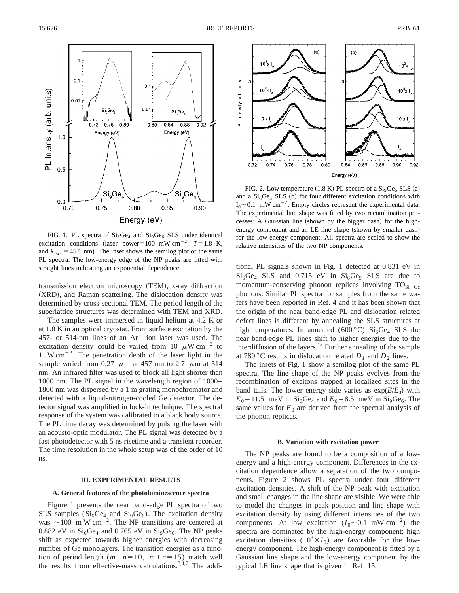

FIG. 1. PL spectra of  $Si<sub>6</sub>Ge<sub>4</sub>$  and  $Si<sub>9</sub>Ge<sub>6</sub>$  SLS under identical excitation conditions (laser power=100 mW cm<sup>-2</sup>,  $T=1.8$  K, and  $\lambda_{exc}$  = 457 nm). The inset shows the semilog plot of the same PL spectra. The low-energy edge of the NP peaks are fitted with straight lines indicating an exponential dependence.

transmission electron microscopy (TEM), x-ray diffraction (XRD), and Raman scattering. The dislocation density was determined by cross-sectional TEM. The period length of the superlattice structures was determined with TEM and XRD.

The samples were immersed in liquid helium at 4.2 K or at 1.8 K in an optical cryostat. Front surface excitation by the 457- or 514-nm lines of an  $Ar^+$  ion laser was used. The excitation density could be varied from 10  $\mu$ W cm<sup>-2</sup> to 1 W cm<sup> $-2$ </sup>. The penetration depth of the laser light in the sample varied from 0.27  $\mu$ m at 457 nm to 2.7  $\mu$ m at 514 nm. An infrared filter was used to block all light shorter than 1000 nm. The PL signal in the wavelength region of 1000– 1800 nm was dispersed by a 1 m grating monochromator and detected with a liquid-nitrogen-cooled Ge detector. The detector signal was amplified in lock-in technique. The spectral response of the system was calibrated to a black body source. The PL time decay was determined by pulsing the laser with an acousto-optic modulator. The PL signal was detected by a fast photodetector with 5 ns risetime and a transient recorder. The time resolution in the whole setup was of the order of 10 ns.

### **III. EXPERIMENTAL RESULTS**

# **A. General features of the photoluminescence spectra**

Figure 1 presents the near band-edge PL spectra of two SLS samples  $(Si_6Ge_4$  and  $Si_9Ge_6$ ). The excitation density was  $\sim$ 100 m W cm<sup>-2</sup>. The NP transitions are centered at 0.882 eV in  $Si<sub>6</sub>Ge<sub>4</sub>$  and 0.765 eV in  $Si<sub>9</sub>Ge<sub>6</sub>$ . The NP peaks shift as expected towards higher energies with decreasing number of Ge monolayers. The transition energies as a function of period length  $(m+n=10, m+n=15)$  match well the results from effective-mass calculations. $3,4,7$  The addi-



FIG. 2. Low temperature  $(1.8 \text{ K})$  PL spectra of a  $\text{Si}_9\text{Ge}_6$  SLS  $(a)$ and a  $Si<sub>6</sub>Ge<sub>4</sub> SLS$  (b) for four different excitation conditions with  $I_0 \sim 0.1$  mW cm<sup>-2</sup>. Empty circles represent the experimental data. The experimental line shape was fitted by two recombination processes: A Gaussian line (shown by the bigger dash) for the highenergy component and an LE line shape (shown by smaller dash) for the low-energy component. All spectra are scaled to show the relative intensities of the two NP components.

tional PL signals shown in Fig. 1 detected at 0.831 eV in  $Si<sub>6</sub>Ge<sub>4</sub> SLS$  and 0.715 eV in  $Si<sub>6</sub>Ge<sub>9</sub> SLS$  are due to momentum-conserving phonon replicas involving  $TO<sub>Si-Ge</sub>$ phonons. Similar PL spectra for samples from the same wafers have been reported in Ref. 4 and it has been shown that the origin of the near band-edge PL and dislocation related defect lines is different by annealing the SLS structures at high temperatures. In annealed (600 °C)  $Si<sub>6</sub>Ge<sub>4</sub>$  SLS the near band-edge PL lines shift to higher energies due to the interdiffusion of the layers.<sup>18</sup> Further annealing of the sample at 780 °C results in dislocation related  $D_1$  and  $D_2$  lines.

The insets of Fig. 1 show a semilog plot of the same PL spectra. The line shape of the NP peaks evolves from the recombination of excitons trapped at localized sites in the band tails. The lower energy side varies as  $exp(E/E_0)$  with  $E_0$ =11.5 meV in Si<sub>6</sub>Ge<sub>4</sub> and  $E_0$ =8.5 meV in Si<sub>9</sub>Ge<sub>6</sub>. The same values for  $E_0$  are derived from the spectral analysis of the phonon replicas.

#### **B. Variation with excitation power**

The NP peaks are found to be a composition of a lowenergy and a high-energy component. Differences in the excitation dependence allow a separation of the two components. Figure 2 shows PL spectra under four different excitation densities. A shift of the NP peak with excitation and small changes in the line shape are visible. We were able to model the changes in peak position and line shape with excitation density by using different intensities of the two components. At low excitation  $(I_0 \sim 0.1 \text{ mW cm}^{-2})$  the spectra are dominated by the high-energy component; high excitation densities  $(10^3 \times I_0)$  are favorable for the lowenergy component. The high-energy component is fitted by a Gaussian line shape and the low-energy component by the typical LE line shape that is given in Ref. 15,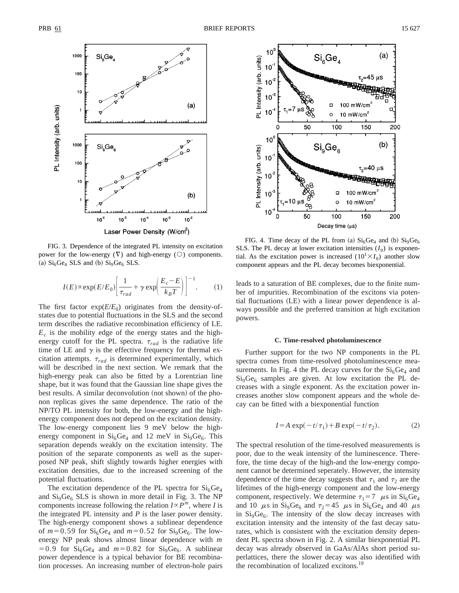

FIG. 3. Dependence of the integrated PL intensity on excitation power for the low-energy  $(\nabla)$  and high-energy  $(\bigcirc)$  components. (a)  $Si<sub>6</sub>Ge<sub>4</sub> SLS$  and (b)  $Si<sub>9</sub>Ge<sub>6</sub> SLS$ .

$$
I(E) \propto \exp(E/E_0) \left[ \frac{1}{\tau_{rad}} + \gamma \exp\left(\frac{E_c - E}{k_B T}\right) \right]^{-1}.
$$
 (1)

The first factor  $exp(E/E_0)$  originates from the density-ofstates due to potential fluctuations in the SLS and the second term describes the radiative recombination efficiency of LE.  $E_c$  is the mobility edge of the energy states and the highenergy cutoff for the PL spectra.  $\tau_{rad}$  is the radiative life time of LE and  $\gamma$  is the effective frequency for thermal excitation attempts.  $\tau_{rad}$  is determined experimentally, which will be described in the next section. We remark that the high-energy peak can also be fitted by a Lorentzian line shape, but it was found that the Gaussian line shape gives the best results. A similar deconvolution (not shown) of the phonon replicas gives the same dependence. The ratio of the NP/TO PL intensity for both, the low-energy and the highenergy component does not depend on the excitation density. The low-energy component lies 9 meV below the highenergy component in  $Si<sub>6</sub>Ge<sub>4</sub>$  and 12 meV in  $Si<sub>9</sub>Ge<sub>6</sub>$ . This separation depends weakly on the excitation intensity. The position of the separate components as well as the superposed NP peak, shift slightly towards higher energies with excitation densities, due to the increased screening of the potential fluctuations.

The excitation dependence of the PL spectra for  $Si<sub>6</sub>Ge<sub>4</sub>$ and  $Si<sub>9</sub>Ge<sub>6</sub> SLS$  is shown in more detail in Fig. 3. The NP components increase following the relation  $I \propto P^m$ , where *I* is the integrated PL intensity and *P* is the laser power density. The high-energy component shows a sublinear dependence of  $m=0.59$  for  $Si<sub>6</sub>Ge<sub>4</sub>$  and  $m=0.52$  for  $Si<sub>9</sub>Ge<sub>6</sub>$ . The lowenergy NP peak shows almost linear dependence with *m*  $=0.9$  for Si<sub>6</sub>Ge<sub>4</sub> and  $m=0.82$  for Si<sub>9</sub>Ge<sub>6</sub>. A sublinear power dependence is a typical behavior for BE recombination processes. An increasing number of electron-hole pairs



FIG. 4. Time decay of the PL from (a)  $Si<sub>6</sub>Ge<sub>4</sub>$  and (b)  $Si<sub>9</sub>Ge<sub>6</sub>$ SLS. The PL decay at lower excitation intensities  $(I_0)$  is exponential. As the excitation power is increased  $(10^1 \times I_0)$  another slow component appears and the PL decay becomes biexponential.

leads to a saturation of BE complexes, due to the finite number of impurities. Recombination of the excitons via potential fluctuations  $(LE)$  with a linear power dependence is always possible and the preferred transition at high excitation powers.

### **C. Time-resolved photoluminescence**

Further support for the two NP components in the PL spectra comes from time-resolved photoluminescence measurements. In Fig. 4 the PL decay curves for the  $Si<sub>6</sub>Ge<sub>4</sub>$  and  $Si<sub>9</sub>Ge<sub>6</sub>$  samples are given. At low excitation the PL decreases with a single exponent. As the excitation power increases another slow component appears and the whole decay can be fitted with a biexponential function

$$
I = A \exp(-t/\tau_1) + B \exp(-t/\tau_2). \tag{2}
$$

The spectral resolution of the time-resolved measurements is poor, due to the weak intensity of the luminescence. Therefore, the time decay of the high-and the low-energy component cannot be determined seperately. However, the intensity dependence of the time decay suggests that  $\tau_1$  and  $\tau_2$  are the lifetimes of the high-energy component and the low-energy component, respectively. We determine  $\tau_1 = 7$   $\mu$ s in Si<sub>6</sub>Ge<sub>4</sub> and 10  $\mu$ s in Si<sub>9</sub>Ge<sub>6</sub> and  $\tau_2$ =45  $\mu$ s in Si<sub>6</sub>Ge<sub>4</sub> and 40  $\mu$ s in  $\text{Si}_9\text{Ge}_6$ . The intensity of the slow decay increases with excitation intensity and the intensity of the fast decay saturates, which is consistent with the excitation density dependent PL spectra shown in Fig. 2. A similar biexponential PL decay was already observed in GaAs/AlAs short period superlattices, there the slower decay was also identified with the recombination of localized excitons.<sup>19</sup>